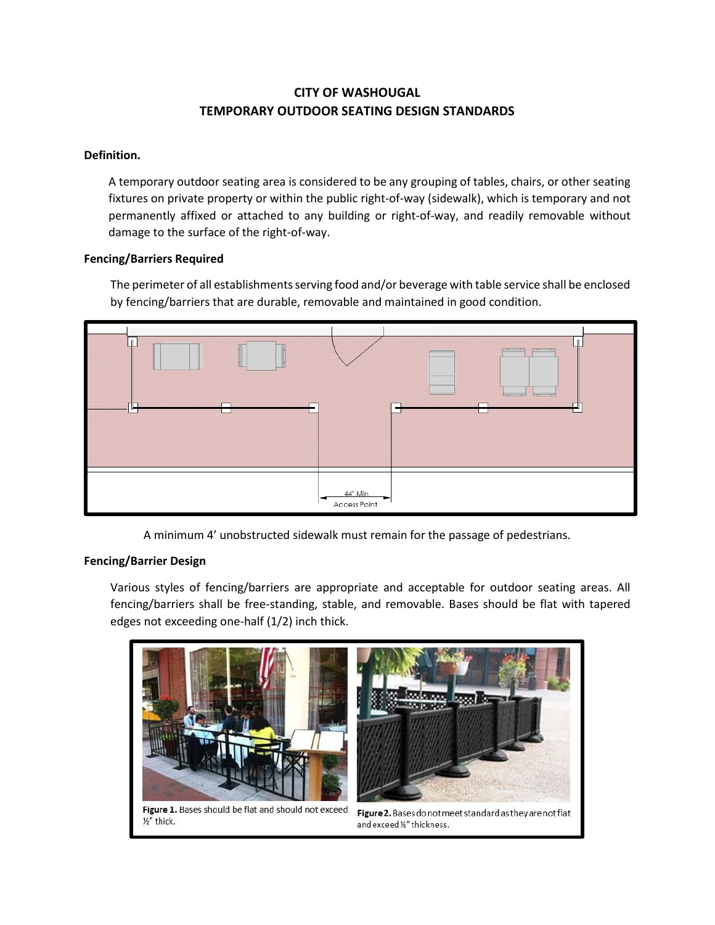# **CITY OF WASHOUGAL TEMPORARY OUTDOOR SEATING DESIGN STANDARDS**

## **Definition.**

A temporary outdoor seating area is considered to be any grouping of tables, chairs, or other seating fixtures on private property or within the public right-of-way (sidewalk), which is temporary and not permanently affixed or attached to any building or right-of-way, and readily removable without damage to the surface of the right-of-way.

### **Fencing/Barriers Required**

The perimeter of all establishments serving food and/or beverage with table service shall be enclosed by fencing/barriers that are durable, removable and maintained in good condition.



A minimum 4' unobstructed sidewalk must remain for the passage of pedestrians.

### **Fencing/Barrier Design**

Various styles of fencing/barriers are appropriate and acceptable for outdoor seating areas. All fencing/barriers shall be free-standing, stable, and removable. Bases should be flat with tapered edges not exceeding one-half (1/2) inch thick.

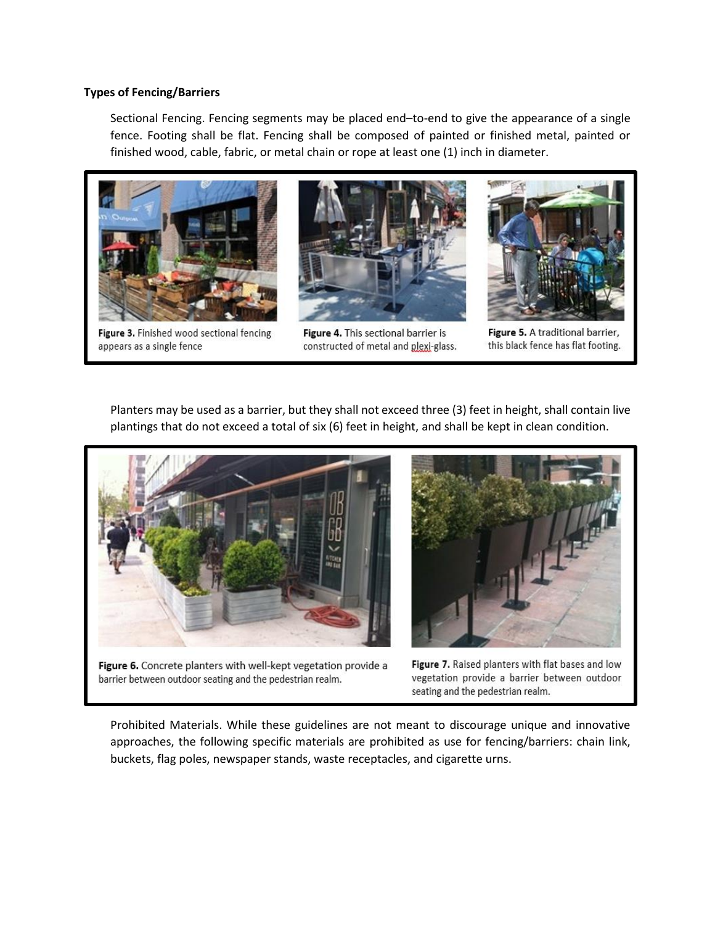#### **Types of Fencing/Barriers**

Sectional Fencing. Fencing segments may be placed end–to-end to give the appearance of a single fence. Footing shall be flat. Fencing shall be composed of painted or finished metal, painted or finished wood, cable, fabric, or metal chain or rope at least one (1) inch in diameter.



Figure 3. Finished wood sectional fencing appears as a single fence



Figure 4. This sectional barrier is constructed of metal and plexi-glass.



Figure 5. A traditional barrier, this black fence has flat footing.

Planters may be used as a barrier, but they shall not exceed three (3) feet in height, shall contain live plantings that do not exceed a total of six (6) feet in height, and shall be kept in clean condition.



Figure 6. Concrete planters with well-kept vegetation provide a barrier between outdoor seating and the pedestrian realm.



Figure 7. Raised planters with flat bases and low vegetation provide a barrier between outdoor seating and the pedestrian realm.

Prohibited Materials. While these guidelines are not meant to discourage unique and innovative approaches, the following specific materials are prohibited as use for fencing/barriers: chain link, buckets, flag poles, newspaper stands, waste receptacles, and cigarette urns.